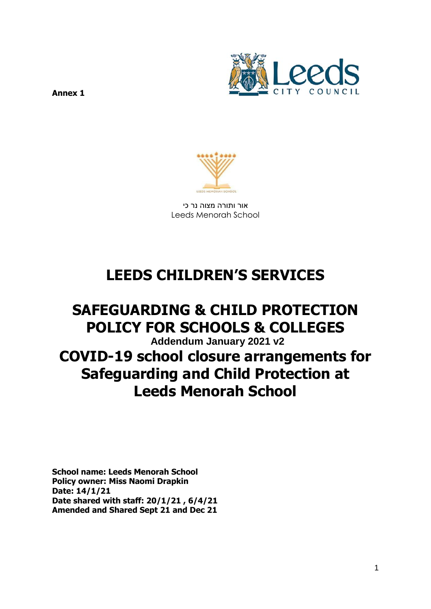

**Annex 1** 



אור ותורה מצוה נר כי Leeds Menorah School

# **LEEDS CHILDREN'S SERVICES**

## **SAFEGUARDING & CHILD PROTECTION POLICY FOR SCHOOLS & COLLEGES Addendum January 2021 v2 COVID-19 school closure arrangements for Safeguarding and Child Protection at Leeds Menorah School**

**School name: Leeds Menorah School Policy owner: Miss Naomi Drapkin Date: 14/1/21 Date shared with staff: 20/1/21 , 6/4/21 Amended and Shared Sept 21 and Dec 21**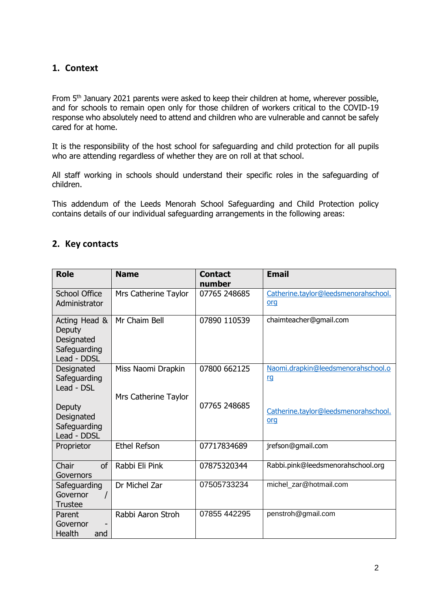## **1. Context**

From 5<sup>th</sup> January 2021 parents were asked to keep their children at home, wherever possible, and for schools to remain open only for those children of workers critical to the COVID-19 response who absolutely need to attend and children who are vulnerable and cannot be safely cared for at home.

It is the responsibility of the host school for safeguarding and child protection for all pupils who are attending regardless of whether they are on roll at that school.

All staff working in schools should understand their specific roles in the safeguarding of children.

This addendum of the Leeds Menorah School Safeguarding and Child Protection policy contains details of our individual safeguarding arrangements in the following areas:

## **2. Key contacts**

| <b>Role</b>                                                          | <b>Name</b>                                | <b>Contact</b><br>number | <b>Email</b>                                    |
|----------------------------------------------------------------------|--------------------------------------------|--------------------------|-------------------------------------------------|
| <b>School Office</b><br>Administrator                                | Mrs Catherine Taylor                       | 07765 248685             | Catherine.taylor@leedsmenorahschool.<br>org     |
| Acting Head &<br>Deputy<br>Designated<br>Safeguarding<br>Lead - DDSL | Mr Chaim Bell                              | 07890 110539             | chaimteacher@gmail.com                          |
| Designated<br>Safeguarding<br>Lead - DSL                             | Miss Naomi Drapkin<br>Mrs Catherine Taylor | 07800 662125             | Naomi.drapkin@leedsmenorahschool.o<br><u>rg</u> |
| Deputy<br>Designated<br>Safeguarding<br>Lead - DDSL                  |                                            | 07765 248685             | Catherine.taylor@leedsmenorahschool.<br>org     |
| Proprietor                                                           | <b>Ethel Refson</b>                        | 07717834689              | jrefson@gmail.com                               |
| Chair<br>οf<br>Governors                                             | Rabbi Eli Pink                             | 07875320344              | Rabbi.pink@leedsmenorahschool.org               |
| Safeguarding<br>Governor<br><b>Trustee</b>                           | Dr Michel Zar                              | 07505733234              | michel zar@hotmail.com                          |
| Parent<br>Governor<br>Health<br>and                                  | Rabbi Aaron Stroh                          | 07855 442295             | penstroh@gmail.com                              |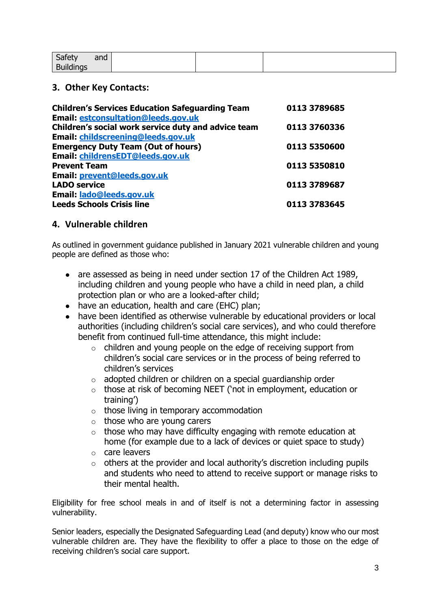| Safety           | and |  |  |
|------------------|-----|--|--|
| <b>Buildings</b> |     |  |  |

## **3. Other Key Contacts:**

| <b>Children's Services Education Safeguarding Team</b> | 0113 3789685 |
|--------------------------------------------------------|--------------|
| <b>Email: estconsultation@leeds.gov.uk</b>             |              |
| Children's social work service duty and advice team    | 0113 3760336 |
| Email: childscreening@leeds.gov.uk                     |              |
| <b>Emergency Duty Team (Out of hours)</b>              | 0113 5350600 |
| Email: childrensEDT@leeds.gov.uk                       |              |
| <b>Prevent Team</b>                                    | 0113 5350810 |
| Email: prevent@leeds.gov.uk                            |              |
| <b>LADO service</b>                                    | 0113 3789687 |
| Email: lado@leeds.gov.uk                               |              |
| <b>Leeds Schools Crisis line</b>                       | 0113 3783645 |

## **4. Vulnerable children**

As outlined in government guidance published in January 2021 vulnerable children and young people are defined as those who:

- are assessed as being in need under section 17 of the Children Act 1989, including children and young people who have a child in need plan, a child protection plan or who are a looked-after child;
- have an education, health and care (EHC) plan;
- have been identified as otherwise vulnerable by educational providers or local authorities (including children's social care services), and who could therefore benefit from continued full-time attendance, this might include:
	- $\circ$  children and young people on the edge of receiving support from children's social care services or in the process of being referred to children's services
	- o adopted children or children on a special guardianship order
	- o those at risk of becoming NEET ('not in employment, education or training')
	- $\circ$  those living in temporary accommodation
	- o those who are young carers
	- $\circ$  those who may have difficulty engaging with remote education at home (for example due to a lack of devices or quiet space to study)
	- o care leavers
	- $\circ$  others at the provider and local authority's discretion including pupils and students who need to attend to receive support or manage risks to their mental health.

Eligibility for free school meals in and of itself is not a determining factor in assessing vulnerability.

Senior leaders, especially the Designated Safeguarding Lead (and deputy) know who our most vulnerable children are. They have the flexibility to offer a place to those on the edge of receiving children's social care support.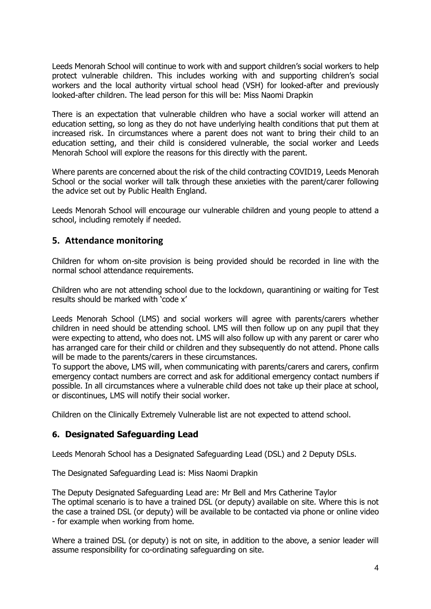Leeds Menorah School will continue to work with and support children's social workers to help protect vulnerable children. This includes working with and supporting children's social workers and the local authority virtual school head (VSH) for looked-after and previously looked-after children. The lead person for this will be: Miss Naomi Drapkin

There is an expectation that vulnerable children who have a social worker will attend an education setting, so long as they do not have underlying health conditions that put them at increased risk. In circumstances where a parent does not want to bring their child to an education setting, and their child is considered vulnerable, the social worker and Leeds Menorah School will explore the reasons for this directly with the parent.

Where parents are concerned about the risk of the child contracting COVID19, Leeds Menorah School or the social worker will talk through these anxieties with the parent/carer following the advice set out by Public Health England.

Leeds Menorah School will encourage our vulnerable children and young people to attend a school, including remotely if needed.

## **5. Attendance monitoring**

Children for whom on-site provision is being provided should be recorded in line with the normal school attendance requirements.

Children who are not attending school due to the lockdown, quarantining or waiting for Test results should be marked with 'code x'

Leeds Menorah School (LMS) and social workers will agree with parents/carers whether children in need should be attending school. LMS will then follow up on any pupil that they were expecting to attend, who does not. LMS will also follow up with any parent or carer who has arranged care for their child or children and they subsequently do not attend. Phone calls will be made to the parents/carers in these circumstances.

To support the above, LMS will, when communicating with parents/carers and carers, confirm emergency contact numbers are correct and ask for additional emergency contact numbers if possible. In all circumstances where a vulnerable child does not take up their place at school, or discontinues, LMS will notify their social worker.

Children on the Clinically Extremely Vulnerable list are not expected to attend school.

## **6. Designated Safeguarding Lead**

Leeds Menorah School has a Designated Safeguarding Lead (DSL) and 2 Deputy DSLs.

The Designated Safeguarding Lead is: Miss Naomi Drapkin

The Deputy Designated Safeguarding Lead are: Mr Bell and Mrs Catherine Taylor The optimal scenario is to have a trained DSL (or deputy) available on site. Where this is not the case a trained DSL (or deputy) will be available to be contacted via phone or online video - for example when working from home.

Where a trained DSL (or deputy) is not on site, in addition to the above, a senior leader will assume responsibility for co-ordinating safeguarding on site.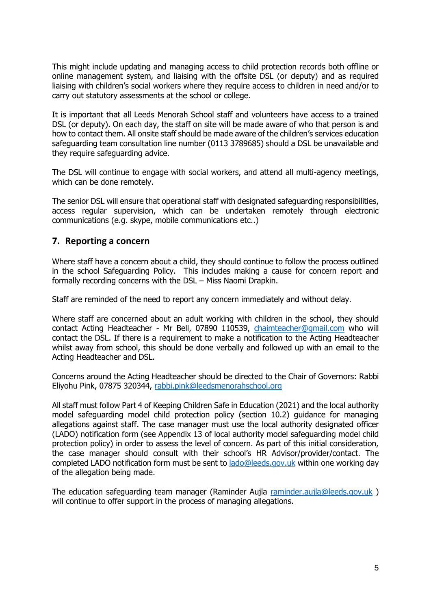This might include updating and managing access to child protection records both offline or online management system, and liaising with the offsite DSL (or deputy) and as required liaising with children's social workers where they require access to children in need and/or to carry out statutory assessments at the school or college.

It is important that all Leeds Menorah School staff and volunteers have access to a trained DSL (or deputy). On each day, the staff on site will be made aware of who that person is and how to contact them. All onsite staff should be made aware of the children's services education safeguarding team consultation line number (0113 3789685) should a DSL be unavailable and they require safeguarding advice.

The DSL will continue to engage with social workers, and attend all multi-agency meetings, which can be done remotely.

The senior DSL will ensure that operational staff with designated safeguarding responsibilities, access regular supervision, which can be undertaken remotely through electronic communications (e.g. skype, mobile communications etc..)

## **7. Reporting a concern**

Where staff have a concern about a child, they should continue to follow the process outlined in the school Safeguarding Policy. This includes making a cause for concern report and formally recording concerns with the DSL – Miss Naomi Drapkin.

Staff are reminded of the need to report any concern immediately and without delay.

Where staff are concerned about an adult working with children in the school, they should contact Acting Headteacher - Mr Bell, 07890 110539, [chaimteacher@gmail.com](mailto:chaimteacher@gmail.com) who will contact the DSL. If there is a requirement to make a notification to the Acting Headteacher whilst away from school, this should be done verbally and followed up with an email to the Acting Headteacher and DSL.

Concerns around the Acting Headteacher should be directed to the Chair of Governors: Rabbi Eliyohu Pink, 07875 320344, [rabbi.pink@leedsmenorahschool.org](mailto:rabbi.pink@leedsmenorahschool.org)

All staff must follow Part 4 of Keeping Children Safe in Education (2021) and the local authority model safeguarding model child protection policy (section 10.2) guidance for managing allegations against staff. The case manager must use the local authority designated officer (LADO) notification form (see Appendix 13 of local authority model safeguarding model child protection policy) in order to assess the level of concern. As part of this initial consideration, the case manager should consult with their school's HR Advisor/provider/contact. The completed LADO notification form must be sent to [lado@leeds.gov.uk](mailto:lado@leeds.gov.uk) within one working day of the allegation being made.

The education safeguarding team manager (Raminder Aujla [raminder.aujla@leeds.gov.uk](mailto:raminder.aujla@leeds.gov.uk)) will continue to offer support in the process of managing allegations.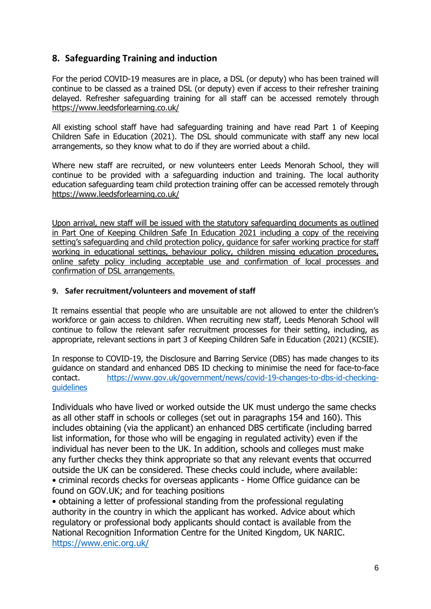## **8. Safeguarding Training and induction**

For the period COVID-19 measures are in place, a DSL (or deputy) who has been trained will continue to be classed as a trained DSL (or deputy) even if access to their refresher training delayed. Refresher safeguarding training for all staff can be accessed remotely through <https://www.leedsforlearning.co.uk/>

All existing school staff have had safeguarding training and have read Part 1 of Keeping Children Safe in Education (2021). The DSL should communicate with staff any new local arrangements, so they know what to do if they are worried about a child.

Where new staff are recruited, or new volunteers enter Leeds Menorah School, they will continue to be provided with a safeguarding induction and training. The local authority education safeguarding team child protection training offer can be accessed remotely through <https://www.leedsforlearning.co.uk/>

Upon arrival, new staff will be issued with the statutory safeguarding documents as outlined in Part One of Keeping Children Safe In Education 2021 including a copy of the receiving setting's safeguarding and child protection policy, guidance for safer working practice for staff working in educational settings, behaviour policy, children missing education procedures, online safety policy including acceptable use and confirmation of local processes and confirmation of DSL arrangements.

#### **9. Safer recruitment/volunteers and movement of staff**

It remains essential that people who are unsuitable are not allowed to enter the children's workforce or gain access to children. When recruiting new staff, Leeds Menorah School will continue to follow the relevant safer recruitment processes for their setting, including, as appropriate, relevant sections in part 3 of Keeping Children Safe in Education (2021) (KCSIE).

In response to COVID-19, the Disclosure and Barring Service (DBS) has made changes to its guidance on standard and enhanced DBS ID checking to minimise the need for face-to-face contact. [https://www.gov.uk/government/news/covid-19-changes-to-dbs-id-checking](https://www.gov.uk/government/news/covid-19-changes-to-dbs-id-checking-guidelines)**[guidelines](https://www.gov.uk/government/news/covid-19-changes-to-dbs-id-checking-guidelines)** 

Individuals who have lived or worked outside the UK must undergo the same checks as all other staff in schools or colleges (set out in paragraphs 154 and 160). This includes obtaining (via the applicant) an enhanced DBS certificate (including barred list information, for those who will be engaging in regulated activity) even if the individual has never been to the UK. In addition, schools and colleges must make any further checks they think appropriate so that any relevant events that occurred outside the UK can be considered. These checks could include, where available: • criminal records checks for overseas applicants - Home Office guidance can be found on GOV.UK; and for teaching positions

• obtaining a letter of professional standing from the professional regulating authority in the country in which the applicant has worked. Advice about which regulatory or professional body applicants should contact is available from the National Recognition Information Centre for the United Kingdom, UK NARIC. <https://www.enic.org.uk/>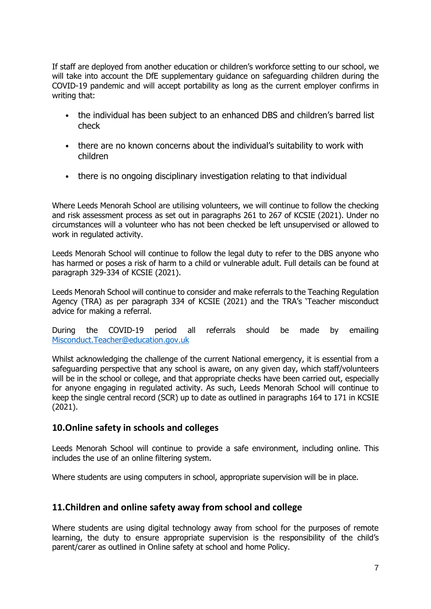If staff are deployed from another education or children's workforce setting to our school, we will take into account the DfE supplementary guidance on safeguarding children during the COVID-19 pandemic and will accept portability as long as the current employer confirms in writing that:

- the individual has been subject to an enhanced DBS and children's barred list check
- there are no known concerns about the individual's suitability to work with children
- there is no ongoing disciplinary investigation relating to that individual

Where Leeds Menorah School are utilising volunteers, we will continue to follow the checking and risk assessment process as set out in paragraphs 261 to 267 of KCSIE (2021). Under no circumstances will a volunteer who has not been checked be left unsupervised or allowed to work in regulated activity.

Leeds Menorah School will continue to follow the legal duty to refer to the DBS anyone who has harmed or poses a risk of harm to a child or vulnerable adult. Full details can be found at paragraph 329-334 of KCSIE (2021).

Leeds Menorah School will continue to consider and make referrals to the Teaching Regulation Agency (TRA) as per paragraph 334 of KCSIE (2021) and the TRA's 'Teacher misconduct advice for making a referral.

During the COVID-19 period all referrals should be made by emailing [Misconduct.Teacher@education.gov.uk](mailto:Misconduct.Teacher@education.gov.uk)

Whilst acknowledging the challenge of the current National emergency, it is essential from a safeguarding perspective that any school is aware, on any given day, which staff/volunteers will be in the school or college, and that appropriate checks have been carried out, especially for anyone engaging in regulated activity. As such, Leeds Menorah School will continue to keep the single central record (SCR) up to date as outlined in paragraphs 164 to 171 in KCSIE (2021).

## **10.Online safety in schools and colleges**

Leeds Menorah School will continue to provide a safe environment, including online. This includes the use of an online filtering system.

Where students are using computers in school, appropriate supervision will be in place.

## **11.Children and online safety away from school and college**

Where students are using digital technology away from school for the purposes of remote learning, the duty to ensure appropriate supervision is the responsibility of the child's parent/carer as outlined in Online safety at school and home Policy.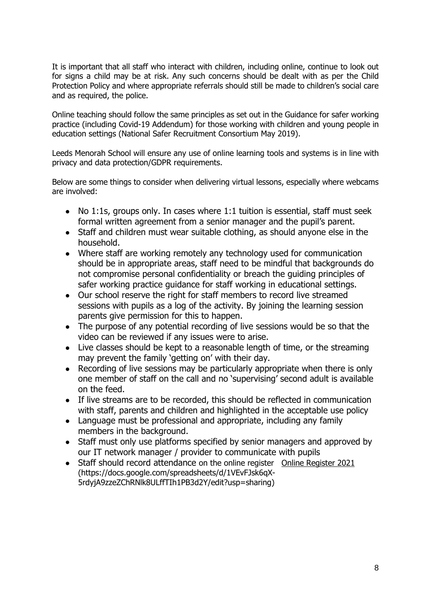It is important that all staff who interact with children, including online, continue to look out for signs a child may be at risk. Any such concerns should be dealt with as per the Child Protection Policy and where appropriate referrals should still be made to children's social care and as required, the police.

Online teaching should follow the same principles as set out in the Guidance for safer working practice (including Covid-19 Addendum) for those working with children and young people in education settings (National Safer Recruitment Consortium May 2019).

Leeds Menorah School will ensure any use of online learning tools and systems is in line with privacy and data protection/GDPR requirements.

Below are some things to consider when delivering virtual lessons, especially where webcams are involved:

- No 1:1s, groups only. In cases where 1:1 tuition is essential, staff must seek formal written agreement from a senior manager and the pupil's parent.
- Staff and children must wear suitable clothing, as should anyone else in the household.
- Where staff are working remotely any technology used for communication should be in appropriate areas, staff need to be mindful that backgrounds do not compromise personal confidentiality or breach the guiding principles of safer working practice guidance for staff working in educational settings.
- Our school reserve the right for staff members to record live streamed sessions with pupils as a log of the activity. By joining the learning session parents give permission for this to happen.
- The purpose of any potential recording of live sessions would be so that the video can be reviewed if any issues were to arise.
- Live classes should be kept to a reasonable length of time, or the streaming may prevent the family 'getting on' with their day.
- Recording of live sessions may be particularly appropriate when there is only one member of staff on the call and no 'supervising' second adult is available on the feed.
- If live streams are to be recorded, this should be reflected in communication with staff, parents and children and highlighted in the acceptable use policy
- Language must be professional and appropriate, including any family members in the background.
- Staff must only use platforms specified by senior managers and approved by our IT network manager / provider to communicate with pupils
- Staff should record attendance on the online register Online Register 2021 (https://docs.google.com/spreadsheets/d/1VEvFJsk6qX-5rdyjA9zzeZChRNlk8ULffTIh1PB3d2Y/edit?usp=sharing)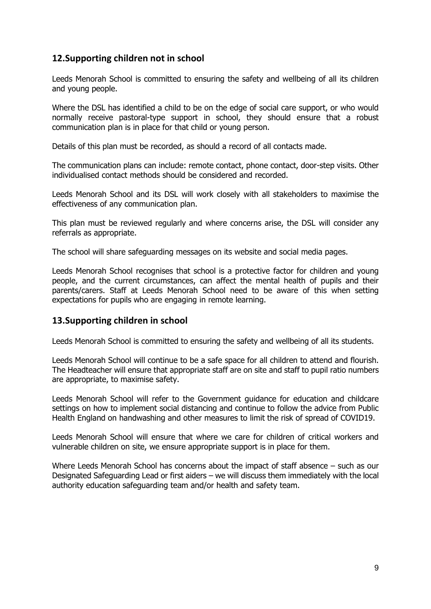## **12.Supporting children not in school**

Leeds Menorah School is committed to ensuring the safety and wellbeing of all its children and young people.

Where the DSL has identified a child to be on the edge of social care support, or who would normally receive pastoral-type support in school, they should ensure that a robust communication plan is in place for that child or young person.

Details of this plan must be recorded, as should a record of all contacts made.

The communication plans can include: remote contact, phone contact, door-step visits. Other individualised contact methods should be considered and recorded.

Leeds Menorah School and its DSL will work closely with all stakeholders to maximise the effectiveness of any communication plan.

This plan must be reviewed regularly and where concerns arise, the DSL will consider any referrals as appropriate.

The school will share safeguarding messages on its website and social media pages.

Leeds Menorah School recognises that school is a protective factor for children and young people, and the current circumstances, can affect the mental health of pupils and their parents/carers. Staff at Leeds Menorah School need to be aware of this when setting expectations for pupils who are engaging in remote learning.

#### **13.Supporting children in school**

Leeds Menorah School is committed to ensuring the safety and wellbeing of all its students.

Leeds Menorah School will continue to be a safe space for all children to attend and flourish. The Headteacher will ensure that appropriate staff are on site and staff to pupil ratio numbers are appropriate, to maximise safety.

Leeds Menorah School will refer to the Government guidance for education and childcare settings on how to implement social distancing and continue to follow the advice from Public Health England on handwashing and other measures to limit the risk of spread of COVID19.

Leeds Menorah School will ensure that where we care for children of critical workers and vulnerable children on site, we ensure appropriate support is in place for them.

Where Leeds Menorah School has concerns about the impact of staff absence – such as our Designated Safeguarding Lead or first aiders – we will discuss them immediately with the local authority education safeguarding team and/or health and safety team.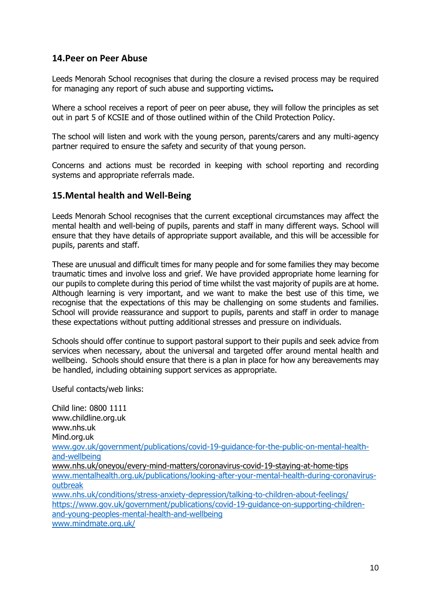## **14.Peer on Peer Abuse**

Leeds Menorah School recognises that during the closure a revised process may be required for managing any report of such abuse and supporting victims**.** 

Where a school receives a report of peer on peer abuse, they will follow the principles as set out in part 5 of KCSIE and of those outlined within of the Child Protection Policy.

The school will listen and work with the young person, parents/carers and any multi-agency partner required to ensure the safety and security of that young person.

Concerns and actions must be recorded in keeping with school reporting and recording systems and appropriate referrals made.

#### **15.Mental health and Well-Being**

Leeds Menorah School recognises that the current exceptional circumstances may affect the mental health and well-being of pupils, parents and staff in many different ways. School will ensure that they have details of appropriate support available, and this will be accessible for pupils, parents and staff.

These are unusual and difficult times for many people and for some families they may become traumatic times and involve loss and grief. We have provided appropriate home learning for our pupils to complete during this period of time whilst the vast majority of pupils are at home. Although learning is very important, and we want to make the best use of this time, we recognise that the expectations of this may be challenging on some students and families. School will provide reassurance and support to pupils, parents and staff in order to manage these expectations without putting additional stresses and pressure on individuals.

Schools should offer continue to support pastoral support to their pupils and seek advice from services when necessary, about the universal and targeted offer around mental health and wellbeing. Schools should ensure that there is a plan in place for how any bereavements may be handled, including obtaining support services as appropriate.

Useful contacts/web links:

Child line: 0800 1111 www.childline.org.uk www.nhs.uk Mind.org.uk [www.gov.uk/government/publications/covid-19-guidance-for-the-public-on-mental-health](http://www.gov.uk/government/publications/covid-19-guidance-for-the-public-on-mental-health-and-wellbeing)[and-wellbeing](http://www.gov.uk/government/publications/covid-19-guidance-for-the-public-on-mental-health-and-wellbeing) [www.nhs.uk/oneyou/every-mind-matters/coronavirus-covid-19-staying-at-home-tips](http://www.nhs.uk/oneyou/every-mind-matters/coronavirus-covid-19-staying-at-home-tips)  [www.mentalhealth.org.uk/publications/looking-after-your-mental-health-during-coronavirus](http://www.mentalhealth.org.uk/publications/looking-after-your-mental-health-during-coronavirus-outbreak)[outbreak](http://www.mentalhealth.org.uk/publications/looking-after-your-mental-health-during-coronavirus-outbreak) [www.nhs.uk/conditions/stress-anxiety-depression/talking-to-children-about-feelings/](http://www.nhs.uk/conditions/stress-anxiety-depression/talking-to-children-about-feelings/) [https://www.gov.uk/government/publications/covid-19-guidance-on-supporting-children](https://www.gov.uk/government/publications/covid-19-guidance-on-supporting-children-and-young-peoples-mental-health-and-wellbeing)[and-young-peoples-mental-health-and-wellbeing](https://www.gov.uk/government/publications/covid-19-guidance-on-supporting-children-and-young-peoples-mental-health-and-wellbeing) [www.mindmate.org.uk/](http://www.mindmate.org.uk/)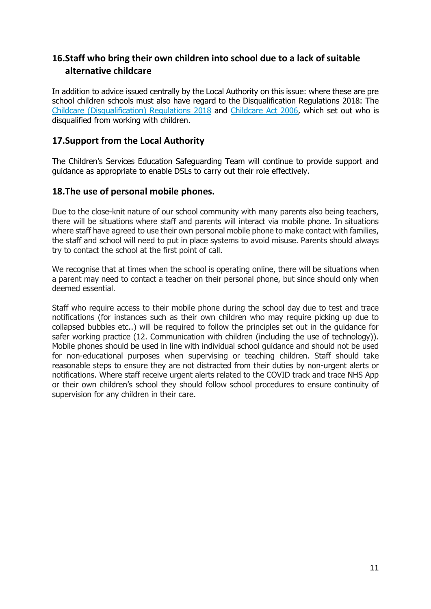## **16.Staff who bring their own children into school due to a lack of suitable alternative childcare**

In addition to advice issued centrally by the Local Authority on this issue: where these are pre school children schools must also have regard to the Disqualification Regulations 2018: The Childcare (Disqualification) Regulations 2018 and [Childcare Act 2006,](http://www.legislation.gov.uk/ukpga/2006/21/contents) which set out who is disqualified from working with children.

## **17.Support from the Local Authority**

The Children's Services Education Safeguarding Team will continue to provide support and guidance as appropriate to enable DSLs to carry out their role effectively.

## **18.The use of personal mobile phones.**

Due to the close-knit nature of our school community with many parents also being teachers, there will be situations where staff and parents will interact via mobile phone. In situations where staff have agreed to use their own personal mobile phone to make contact with families, the staff and school will need to put in place systems to avoid misuse. Parents should always try to contact the school at the first point of call.

We recognise that at times when the school is operating online, there will be situations when a parent may need to contact a teacher on their personal phone, but since should only when deemed essential.

Staff who require access to their mobile phone during the school day due to test and trace notifications (for instances such as their own children who may require picking up due to collapsed bubbles etc..) will be required to follow the principles set out in the guidance for safer working practice (12. Communication with children (including the use of technology)). Mobile phones should be used in line with individual school guidance and should not be used for non-educational purposes when supervising or teaching children. Staff should take reasonable steps to ensure they are not distracted from their duties by non-urgent alerts or notifications. Where staff receive urgent alerts related to the COVID track and trace NHS App or their own children's school they should follow school procedures to ensure continuity of supervision for any children in their care.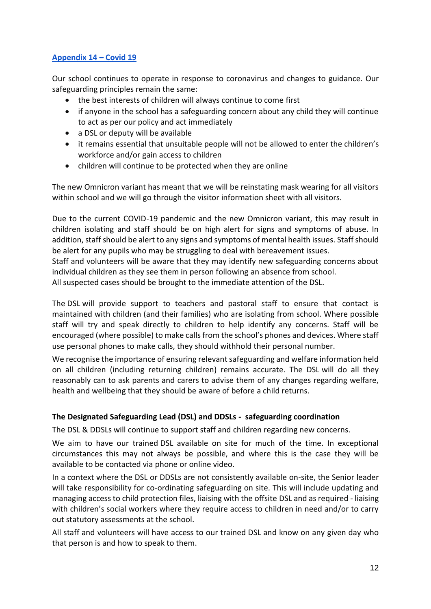## **Appendix 14 – Covid 19**

Our school continues to operate in response to coronavirus and changes to guidance. Our safeguarding principles remain the same:

- the best interests of children will always continue to come first
- if anyone in the school has a safeguarding concern about any child they will continue to act as per our policy and act immediately
- a DSL or deputy will be available
- it remains essential that unsuitable people will not be allowed to enter the children's workforce and/or gain access to children
- children will continue to be protected when they are online

The new Omnicron variant has meant that we will be reinstating mask wearing for all visitors within school and we will go through the visitor information sheet with all visitors.

Due to the current COVID-19 pandemic and the new Omnicron variant, this may result in children isolating and staff should be on high alert for signs and symptoms of abuse. In addition, staff should be alert to any signs and symptoms of mental health issues. Staff should be alert for any pupils who may be struggling to deal with bereavement issues.

Staff and volunteers will be aware that they may identify new safeguarding concerns about individual children as they see them in person following an absence from school.

All suspected cases should be brought to the immediate attention of the DSL.

The DSL will provide support to teachers and pastoral staff to ensure that contact is maintained with children (and their families) who are isolating from school. Where possible staff will try and speak directly to children to help identify any concerns. Staff will be encouraged (where possible) to make calls from the school's phones and devices. Where staff use personal phones to make calls, they should withhold their personal number.

We recognise the importance of ensuring relevant safeguarding and welfare information held on all children (including returning children) remains accurate. The DSL will do all they reasonably can to ask parents and carers to advise them of any changes regarding welfare, health and wellbeing that they should be aware of before a child returns.

#### **The Designated Safeguarding Lead (DSL) and DDSLs - safeguarding coordination**

The DSL & DDSLs will continue to support staff and children regarding new concerns.

We aim to have our trained DSL available on site for much of the time. In exceptional circumstances this may not always be possible, and where this is the case they will be available to be contacted via phone or online video.

In a context where the DSL or DDSLs are not consistently available on-site, the Senior leader will take responsibility for co-ordinating safeguarding on site. This will include updating and managing access to child protection files, liaising with the offsite DSL and as required - liaising with children's social workers where they require access to children in need and/or to carry out statutory assessments at the school.

All staff and volunteers will have access to our trained DSL and know on any given day who that person is and how to speak to them.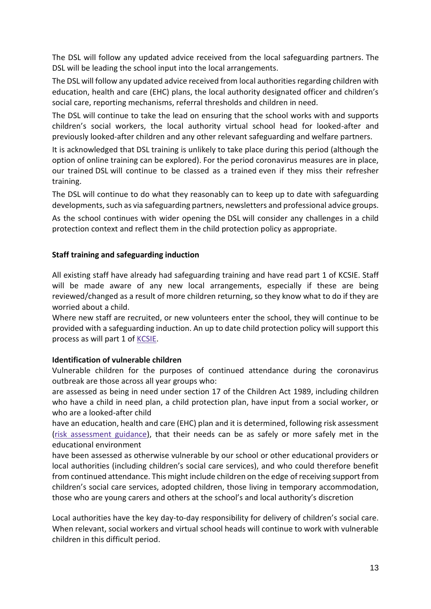The DSL will follow any updated advice received from the local safeguarding partners. The DSL will be leading the school input into the local arrangements.

The DSL will follow any updated advice received from local authorities regarding children with education, health and care (EHC) plans, the local authority designated officer and children's social care, reporting mechanisms, referral thresholds and children in need.

The DSL will continue to take the lead on ensuring that the school works with and supports children's social workers, the local authority virtual school head for looked-after and previously looked-after children and any other relevant safeguarding and welfare partners.

It is acknowledged that DSL training is unlikely to take place during this period (although the option of online training can be explored). For the period coronavirus measures are in place, our trained DSL will continue to be classed as a trained even if they miss their refresher training.

The DSL will continue to do what they reasonably can to keep up to date with safeguarding developments, such as via safeguarding partners, newsletters and professional advice groups.

As the school continues with wider opening the DSL will consider any challenges in a child protection context and reflect them in the child protection policy as appropriate.

#### **Staff training and safeguarding induction**

All existing staff have already had safeguarding training and have read part 1 of KCSIE. Staff will be made aware of any new local arrangements, especially if these are being reviewed/changed as a result of more children returning, so they know what to do if they are worried about a child.

Where new staff are recruited, or new volunteers enter the school, they will continue to be provided with a safeguarding induction. An up to date child protection policy will support this process as will part 1 of [KCSIE.](https://www.gov.uk/government/publications/keeping-children-safe-in-education--2)

#### **Identification of vulnerable children**

Vulnerable children for the purposes of continued attendance during the coronavirus outbreak are those across all year groups who:

are assessed as being in need under section 17 of the Children Act 1989, including children who have a child in need plan, a child protection plan, have input from a social worker, or who are a looked-after child

have an education, health and care (EHC) plan and it is determined, following risk assessment [\(risk assessment guidance\)](https://www.gov.uk/government/publications/coronavirus-covid-19-send-risk-assessment-guidance/coronavirus-covid-19-send-risk-assessment-guidance), that their needs can be as safely or more safely met in the educational environment

have been assessed as otherwise vulnerable by our school or other educational providers or local authorities (including children's social care services), and who could therefore benefit from continued attendance. This might include children on the edge of receiving support from children's social care services, adopted children, those living in temporary accommodation, those who are young carers and others at the school's and local authority's discretion

Local authorities have the key day-to-day responsibility for delivery of children's social care. When relevant, social workers and virtual school heads will continue to work with vulnerable children in this difficult period.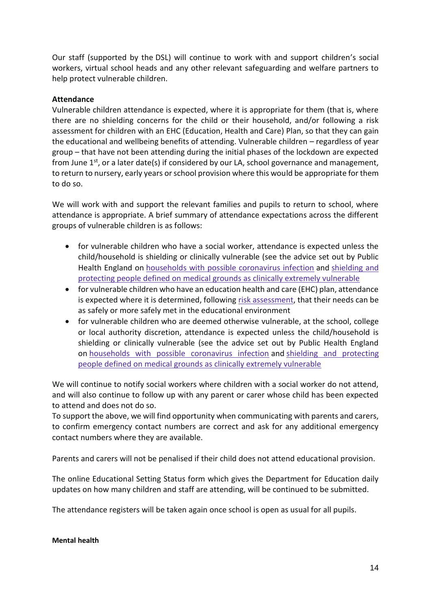Our staff (supported by the DSL) will continue to work with and support children's social workers, virtual school heads and any other relevant safeguarding and welfare partners to help protect vulnerable children.

#### **Attendance**

Vulnerable children attendance is expected, where it is appropriate for them (that is, where there are no shielding concerns for the child or their household, and/or following a risk assessment for children with an EHC (Education, Health and Care) Plan, so that they can gain the educational and wellbeing benefits of attending. Vulnerable children – regardless of year group – that have not been attending during the initial phases of the lockdown are expected from June  $1^{st}$ , or a later date(s) if considered by our LA, school governance and management, to return to nursery, early years or school provision where this would be appropriate for them to do so.

We will work with and support the relevant families and pupils to return to school, where attendance is appropriate. A brief summary of attendance expectations across the different groups of vulnerable children is as follows:

- for vulnerable children who have a social worker, attendance is expected unless the child/household is shielding or clinically vulnerable (see the advice set out by Public Health England on [households with possible coronavirus infection](https://www.gov.uk/government/publications/covid-19-stay-at-home-guidance) and [shielding and](https://www.gov.uk/government/publications/guidance-on-shielding-and-protecting-extremely-vulnerable-persons-from-covid-19)  [protecting people defined on medical grounds as clinically extremely vulnerable](https://www.gov.uk/government/publications/guidance-on-shielding-and-protecting-extremely-vulnerable-persons-from-covid-19)
- for vulnerable children who have an education health and care (EHC) plan, attendance is expected where it is determined, following [risk assessment,](https://www.gov.uk/government/publications/coronavirus-covid-19-send-risk-assessment-guidance/coronavirus-covid-19-send-risk-assessment-guidance) that their needs can be as safely or more safely met in the educational environment
- for vulnerable children who are deemed otherwise vulnerable, at the school, college or local authority discretion, attendance is expected unless the child/household is shielding or clinically vulnerable (see the advice set out by Public Health England on [households with possible coronavirus infection](https://www.gov.uk/government/publications/covid-19-stay-at-home-guidance) and [shielding and protecting](https://www.gov.uk/government/publications/guidance-on-shielding-and-protecting-extremely-vulnerable-persons-from-covid-19)  [people defined on medical grounds as clinically extremely vulnerable](https://www.gov.uk/government/publications/guidance-on-shielding-and-protecting-extremely-vulnerable-persons-from-covid-19)

We will continue to notify social workers where children with a social worker do not attend, and will also continue to follow up with any parent or carer whose child has been expected to attend and does not do so.

To support the above, we will find opportunity when communicating with parents and carers, to confirm emergency contact numbers are correct and ask for any additional emergency contact numbers where they are available.

Parents and carers will not be penalised if their child does not attend educational provision.

The online Educational Setting Status form which gives the Department for Education daily updates on how many children and staff are attending, will be continued to be submitted.

The attendance registers will be taken again once school is open as usual for all pupils.

#### **Mental health**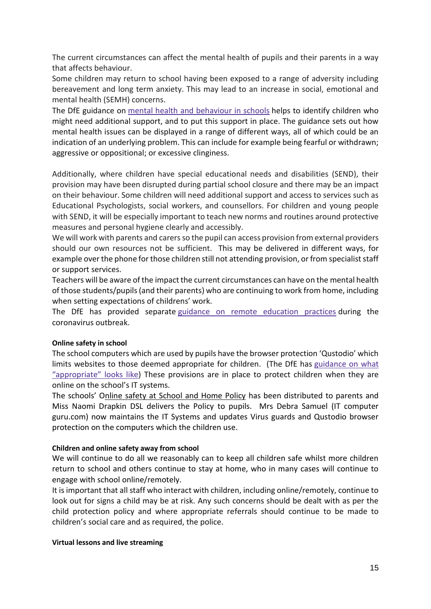The current circumstances can affect the mental health of pupils and their parents in a way that affects behaviour.

Some children may return to school having been exposed to a range of adversity including bereavement and long term anxiety. This may lead to an increase in social, emotional and mental health (SEMH) concerns.

The DfE guidance on mental health [and behaviour in schools](https://www.gov.uk/government/publications/mental-health-and-behaviour-in-schools--2) helps to identify children who might need additional support, and to put this support in place. The guidance sets out how mental health issues can be displayed in a range of different ways, all of which could be an indication of an underlying problem. This can include for example being fearful or withdrawn; aggressive or oppositional; or excessive clinginess.

Additionally, where children have special educational needs and disabilities (SEND), their provision may have been disrupted during partial school closure and there may be an impact on their behaviour. Some children will need additional support and access to services such as Educational Psychologists, social workers, and counsellors. For children and young people with SEND, it will be especially important to teach new norms and routines around protective measures and personal hygiene clearly and accessibly.

We will work with parents and carers so the pupil can access provision from external providers should our own resources not be sufficient. This may be delivered in different ways, for example over the phone for those children still not attending provision, or from specialist staff or support services.

Teachers will be aware of the impact the current circumstances can have on the mental health of those students/pupils (and their parents) who are continuing to work from home, including when setting expectations of childrens' work.

The DfE has provided separate [guidance on remote education practices](https://www.gov.uk/guidance/remote-education-practice-for-schools-during-coronavirus-covid-19) during the coronavirus outbreak.

#### **Online safety in school**

The school computers which are used by pupils have the browser protection 'Qustodio' which limits websites to those deemed appropriate for children. (The DfE has [guidance on what](https://www.saferinternet.org.uk/advice-centre/teachers-and-school-staff/appropriate-filtering-and-monitoring)  ["appropriate" looks like](https://www.saferinternet.org.uk/advice-centre/teachers-and-school-staff/appropriate-filtering-and-monitoring)) These provisions are in place to protect children when they are online on the school's IT systems.

The schools' Online safety at School and Home Policy has been distributed to parents and Miss Naomi Drapkin DSL delivers the Policy to pupils. Mrs Debra Samuel (IT computer guru.com) now maintains the IT Systems and updates Virus guards and Qustodio browser protection on the computers which the children use.

#### **Children and online safety away from school**

We will continue to do all we reasonably can to keep all children safe whilst more children return to school and others continue to stay at home, who in many cases will continue to engage with school online/remotely.

It is important that all staff who interact with children, including online/remotely, continue to look out for signs a child may be at risk. Any such concerns should be dealt with as per the child protection policy and where appropriate referrals should continue to be made to children's social care and as required, the police.

#### **Virtual lessons and live streaming**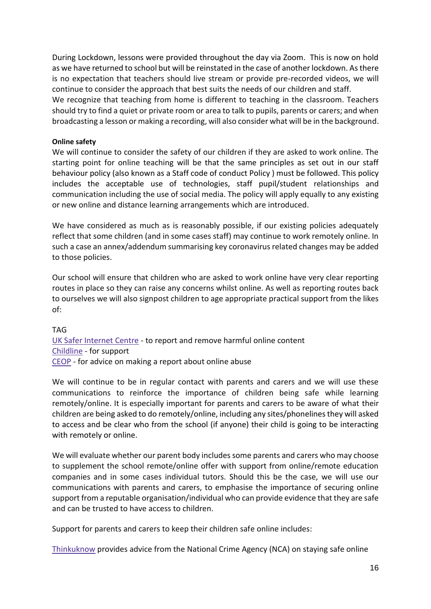During Lockdown, lessons were provided throughout the day via Zoom. This is now on hold as we have returned to school but will be reinstated in the case of another lockdown. As there is no expectation that teachers should live stream or provide pre-recorded videos, we will continue to consider the approach that best suits the needs of our children and staff.

We recognize that teaching from home is different to teaching in the classroom. Teachers should try to find a quiet or private room or area to talk to pupils, parents or carers; and when broadcasting a lesson or making a recording, will also consider what will be in the background.

#### **Online safety**

We will continue to consider the safety of our children if they are asked to work online. The starting point for online teaching will be that the same principles as set out in our staff behaviour policy (also known as a Staff code of conduct Policy ) must be followed. This policy includes the acceptable use of technologies, staff pupil/student relationships and communication including the use of social media. The policy will apply equally to any existing or new online and distance learning arrangements which are introduced.

We have considered as much as is reasonably possible, if our existing policies adequately reflect that some children (and in some cases staff) may continue to work remotely online. In such a case an annex/addendum summarising key coronavirus related changes may be added to those policies.

Our school will ensure that children who are asked to work online have very clear reporting routes in place so they can raise any concerns whilst online. As well as reporting routes back to ourselves we will also signpost children to age appropriate practical support from the likes of:

TAG [UK Safer Internet Centre](https://reportharmfulcontent.com/) - to report and remove harmful online content [Childline](https://www.childline.org.uk/?utm_source=google&utm_medium=cpc&utm_campaign=UK_GO_S_B_BND_Grant_Childline_Information&utm_term=role_of_childline&gclsrc=aw.ds&&gclid=EAIaIQobChMIlfLRh-ez6AIVRrDtCh1N9QR2EAAYASAAEgLc-vD_BwE&gclsrc=aw.ds) - for support [CEOP](https://www.ceop.police.uk/safety-centre/) - for advice on making a report about online abuse

We will continue to be in regular contact with parents and carers and we will use these communications to reinforce the importance of children being safe while learning remotely/online. It is especially important for parents and carers to be aware of what their children are being asked to do remotely/online, including any sites/phonelines they will asked to access and be clear who from the school (if anyone) their child is going to be interacting with remotely or online.

We will evaluate whether our parent body includes some parents and carers who may choose to supplement the school remote/online offer with support from online/remote education companies and in some cases individual tutors. Should this be the case, we will use our communications with parents and carers, to emphasise the importance of securing online support from a reputable organisation/individual who can provide evidence that they are safe and can be trusted to have access to children.

Support for parents and carers to keep their children safe online includes:

[Thinkuknow](http://www.thinkuknow.co.uk/) provides advice from the National Crime Agency (NCA) on staying safe online